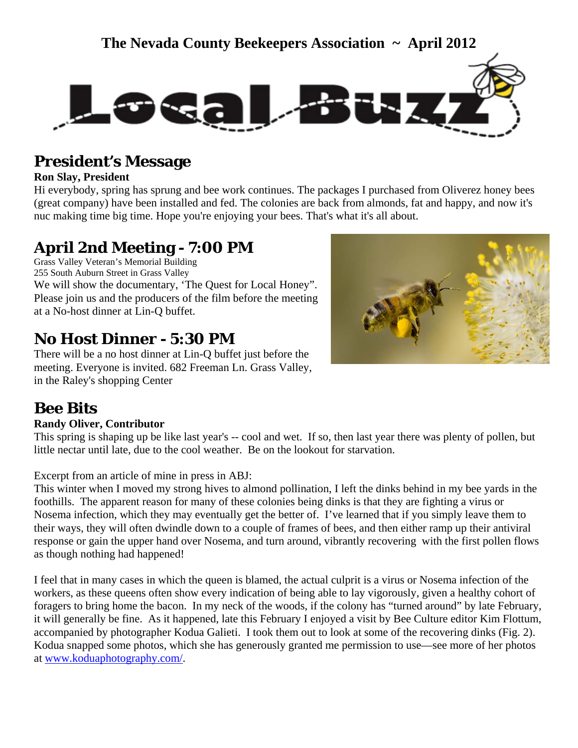



### **President's Message**

#### **Ron Slay, President**

Hi everybody, spring has sprung and bee work continues. The packages I purchased from Oliverez honey bees (great company) have been installed and fed. The colonies are back from almonds, fat and happy, and now it's nuc making time big time. Hope you're enjoying your bees. That's what it's all about.

### **April 2nd Meeting - 7:00 PM**

Grass Valley Veteran's Memorial Building 255 South Auburn Street in Grass Valley We will show the documentary, 'The Quest for Local Honey". Please join us and the producers of the film before the meeting at a No-host dinner at Lin-Q buffet.

### **No Host Dinner - 5:30 PM**

There will be a no host dinner at Lin-Q buffet just before the meeting. Everyone is invited. 682 Freeman Ln. Grass Valley, in the Raley's shopping Center

### **Bee Bits**

#### **Randy Oliver, Contributor**

This spring is shaping up be like last year's -- cool and wet. If so, then last year there was plenty of pollen, but little nectar until late, due to the cool weather. Be on the lookout for starvation.

#### Excerpt from an article of mine in press in ABJ:

This winter when I moved my strong hives to almond pollination, I left the dinks behind in my bee yards in the foothills. The apparent reason for many of these colonies being dinks is that they are fighting a virus or Nosema infection, which they may eventually get the better of. I've learned that if you simply leave them to their ways, they will often dwindle down to a couple of frames of bees, and then either ramp up their antiviral response or gain the upper hand over Nosema, and turn around, vibrantly recovering with the first pollen flows as though nothing had happened!

I feel that in many cases in which the queen is blamed, the actual culprit is a virus or Nosema infection of the workers, as these queens often show every indication of being able to lay vigorously, given a healthy cohort of foragers to bring home the bacon. In my neck of the woods, if the colony has "turned around" by late February, it will generally be fine. As it happened, late this February I enjoyed a visit by Bee Culture editor Kim Flottum, accompanied by photographer Kodua Galieti. I took them out to look at some of the recovering dinks (Fig. 2). Kodua snapped some photos, which she has generously granted me permission to use—see more of her photos at [www.koduaphotography.com/.](http://www.koduaphotography.com/)

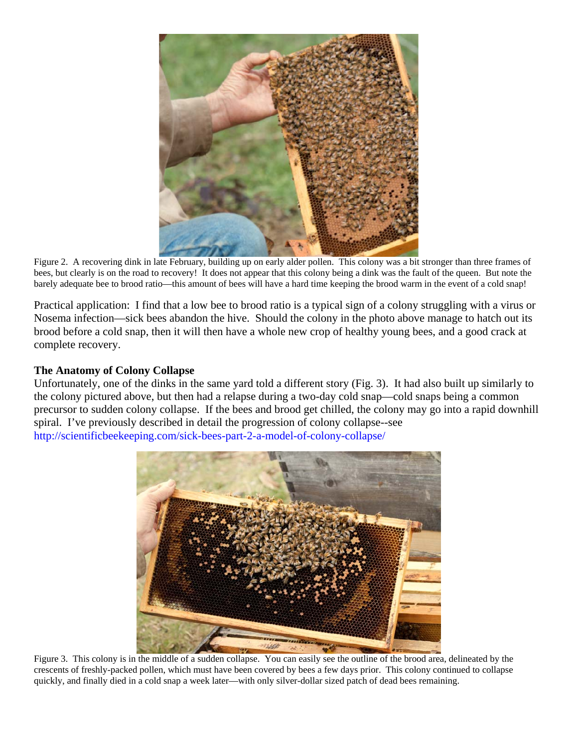

Figure 2. A recovering dink in late February, building up on early alder pollen. This colony was a bit stronger than three frames of bees, but clearly is on the road to recovery! It does not appear that this colony being a dink was the fault of the queen. But note the barely adequate bee to brood ratio—this amount of bees will have a hard time keeping the brood warm in the event of a cold snap!

Practical application: I find that a low bee to brood ratio is a typical sign of a colony struggling with a virus or Nosema infection—sick bees abandon the hive. Should the colony in the photo above manage to hatch out its brood before a cold snap, then it will then have a whole new crop of healthy young bees, and a good crack at complete recovery.

#### **The Anatomy of Colony Collapse**

Unfortunately, one of the dinks in the same yard told a different story (Fig. 3). It had also built up similarly to the colony pictured above, but then had a relapse during a two-day cold snap—cold snaps being a common precursor to sudden colony collapse. If the bees and brood get chilled, the colony may go into a rapid downhill spiral. I've previously described in detail the progression of colony collapse--see <http://scientificbeekeeping.com/sick-bees-part-2-a-model-of-colony-collapse/>



Figure 3. This colony is in the middle of a sudden collapse. You can easily see the outline of the brood area, delineated by the crescents of freshly-packed pollen, which must have been covered by bees a few days prior. This colony continued to collapse quickly, and finally died in a cold snap a week later—with only silver-dollar sized patch of dead bees remaining.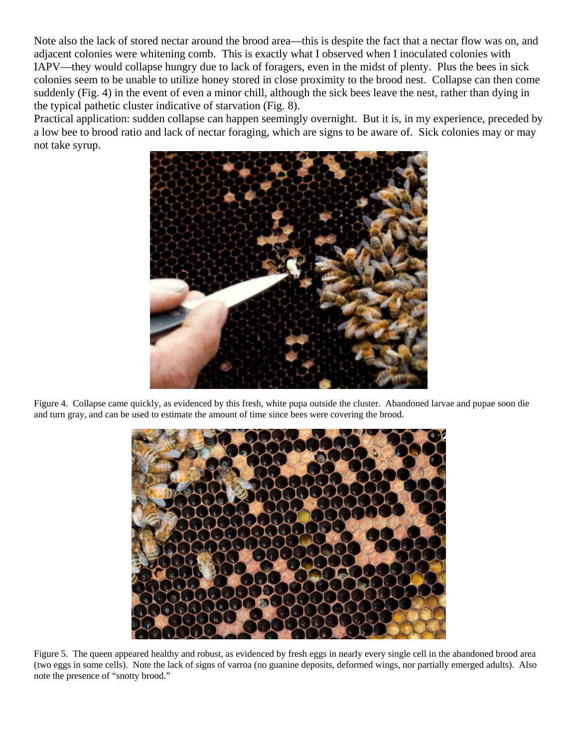Note also the lack of stored nectar around the brood area—this is despite the fact that a nectar flow was on, and adjacent colonies were whitening comb. This is exactly what I observed when I inoculated colonies with IAPV—they would collapse hungry due to lack of foragers, even in the midst of plenty. Plus the bees in sick colonies seem to be unable to utilize honey stored in close proximity to the brood nest. Collapse can then come suddenly (Fig. 4) in the event of even a minor chill, although the sick bees leave the nest, rather than dying in the typical pathetic cluster indicative of starvation (Fig. 8).

Practical application: sudden collapse can happen seemingly overnight. But it is, in my experience, preceded by a low bee to brood ratio and lack of nectar foraging, which are signs to be aware of. Sick colonies may or may not take syrup.



Figure 4. Collapse came quickly, as evidenced by this fresh, white pupa outside the cluster. Abandoned larvae and pupae soon die and turn gray, and can be used to estimate the amount of time since bees were covering the brood.



Figure 5. The queen appeared healthy and robust, as evidenced by fresh eggs in nearly every single cell in the abandoned brood area (two eggs in some cells). Note the lack of signs of varroa (no guanine deposits, deformed wings, nor partially emerged adults). Also note the presence of "snotty brood."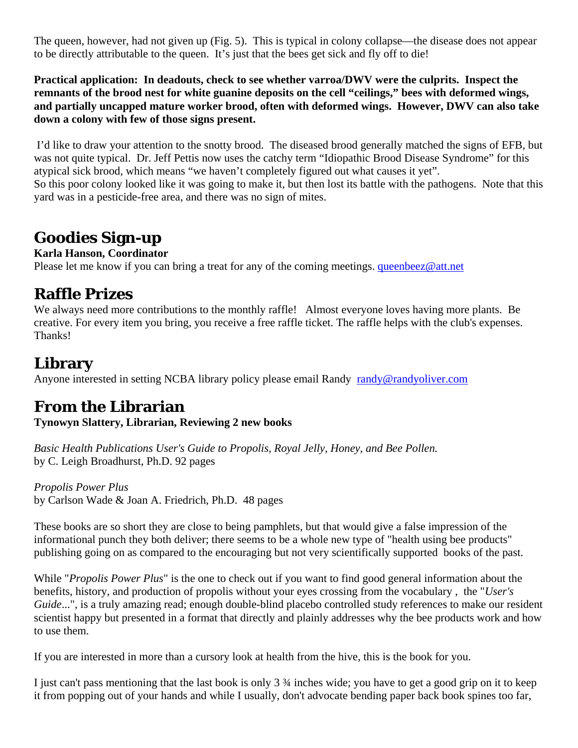The queen, however, had not given up (Fig. 5). This is typical in colony collapse—the disease does not appear to be directly attributable to the queen. It's just that the bees get sick and fly off to die!

**Practical application: In deadouts, check to see whether varroa/DWV were the culprits. Inspect the remnants of the brood nest for white guanine deposits on the cell "ceilings," bees with deformed wings, and partially uncapped mature worker brood, often with deformed wings. However, DWV can also take down a colony with few of those signs present.** 

 I'd like to draw your attention to the snotty brood. The diseased brood generally matched the signs of EFB, but was not quite typical. Dr. Jeff Pettis now uses the catchy term "Idiopathic Brood Disease Syndrome" for this atypical sick brood, which means "we haven't completely figured out what causes it yet". So this poor colony looked like it was going to make it, but then lost its battle with the pathogens. Note that this yard was in a pesticide-free area, and there was no sign of mites.

# **Goodies Sign-up**

#### **Karla Hanson, Coordinator**

Please let me know if you can bring a treat for any of the coming meetings. [queenbeez@att.net](mailto:queenbeez@att.net)

### **Raffle Prizes**

We always need more contributions to the monthly raffle! Almost everyone loves having more plants. Be creative. For every item you bring, you receive a free raffle ticket. The raffle helps with the club's expenses. Thanks!

# **Library**

Anyone interested in setting NCBA library policy please email Randy [randy@randyoliver.com](mailto:randy@randyoliver.com)

### **From the Librarian**

**Tynowyn Slattery, Librarian, Reviewing 2 new books** 

*Basic Health Publications User's Guide to Propolis, Royal Jelly, Honey, and Bee Pollen.*  by C. Leigh Broadhurst, Ph.D. 92 pages

*Propolis Power Plus*  by Carlson Wade & Joan A. Friedrich, Ph.D. 48 pages

These books are so short they are close to being pamphlets, but that would give a false impression of the informational punch they both deliver; there seems to be a whole new type of "health using bee products" publishing going on as compared to the encouraging but not very scientifically supported books of the past.

While "*Propolis Power Plus*" is the one to check out if you want to find good general information about the benefits, history, and production of propolis without your eyes crossing from the vocabulary , the "*User's Guide...*", is a truly amazing read; enough double-blind placebo controlled study references to make our resident scientist happy but presented in a format that directly and plainly addresses why the bee products work and how to use them.

If you are interested in more than a cursory look at health from the hive, this is the book for you.

I just can't pass mentioning that the last book is only 3 ¾ inches wide; you have to get a good grip on it to keep it from popping out of your hands and while I usually, don't advocate bending paper back book spines too far,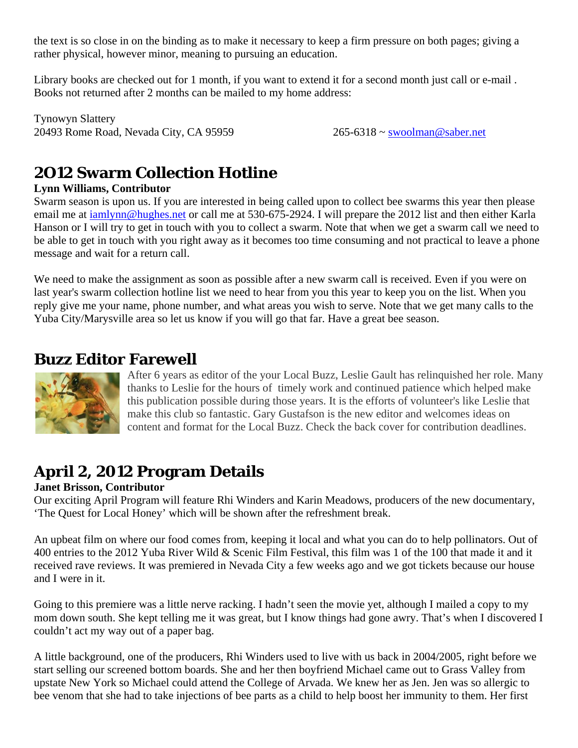the text is so close in on the binding as to make it necessary to keep a firm pressure on both pages; giving a rather physical, however minor, meaning to pursuing an education.

Library books are checked out for 1 month, if you want to extend it for a second month just call or e-mail . Books not returned after 2 months can be mailed to my home address:

Tynowyn Slattery 20493 Rome Road, Nevada City, CA 95959 265-6318 ~ [swoolman@saber.net](mailto:swoolman@saber.net) 

# **2O12 Swarm Collection Hotline**

#### **Lynn Williams, Contributor**

Swarm season is upon us. If you are interested in being called upon to collect bee swarms this year then please email me at [iamlynn@hughes.net](mailto:iamlynn@hughes.net) or call me at 530-675-2924. I will prepare the 2012 list and then either Karla Hanson or I will try to get in touch with you to collect a swarm. Note that when we get a swarm call we need to be able to get in touch with you right away as it becomes too time consuming and not practical to leave a phone message and wait for a return call.

We need to make the assignment as soon as possible after a new swarm call is received. Even if you were on last year's swarm collection hotline list we need to hear from you this year to keep you on the list. When you reply give me your name, phone number, and what areas you wish to serve. Note that we get many calls to the Yuba City/Marysville area so let us know if you will go that far. Have a great bee season.

# **Buzz Editor Farewell**



After 6 years as editor of the your Local Buzz, Leslie Gault has relinquished her role. Many thanks to Leslie for the hours of timely work and continued patience which helped make this publication possible during those years. It is the efforts of volunteer's like Leslie that make this club so fantastic. Gary Gustafson is the new editor and welcomes ideas on content and format for the Local Buzz. Check the back cover for contribution deadlines.

# **April 2, 2012 Program Details**

#### **Janet Brisson, Contributor**

Our exciting April Program will feature Rhi Winders and Karin Meadows, producers of the new documentary, 'The Quest for Local Honey' which will be shown after the refreshment break.

An upbeat film on where our food comes from, keeping it local and what you can do to help pollinators. Out of 400 entries to the 2012 Yuba River Wild & Scenic Film Festival, this film was 1 of the 100 that made it and it received rave reviews. It was premiered in Nevada City a few weeks ago and we got tickets because our house and I were in it.

Going to this premiere was a little nerve racking. I hadn't seen the movie yet, although I mailed a copy to my mom down south. She kept telling me it was great, but I know things had gone awry. That's when I discovered I couldn't act my way out of a paper bag.

A little background, one of the producers, Rhi Winders used to live with us back in 2004/2005, right before we start selling our screened bottom boards. She and her then boyfriend Michael came out to Grass Valley from upstate New York so Michael could attend the College of Arvada. We knew her as Jen. Jen was so allergic to bee venom that she had to take injections of bee parts as a child to help boost her immunity to them. Her first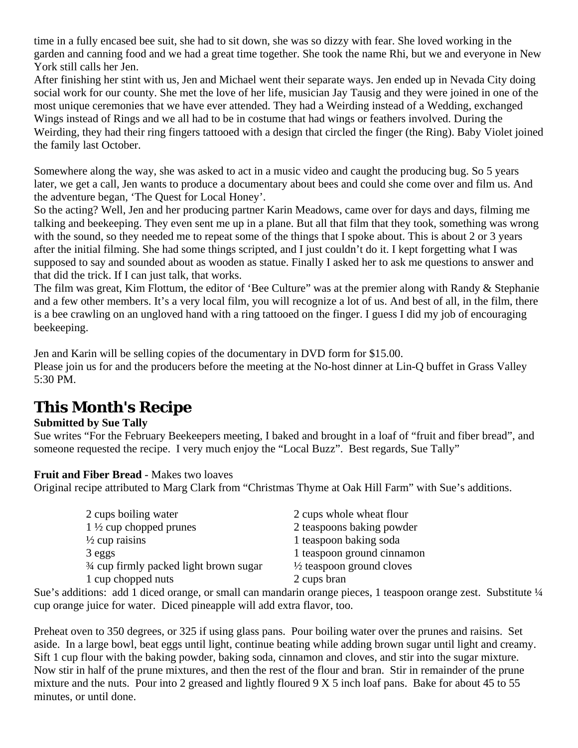time in a fully encased bee suit, she had to sit down, she was so dizzy with fear. She loved working in the garden and canning food and we had a great time together. She took the name Rhi, but we and everyone in New York still calls her Jen.

After finishing her stint with us, Jen and Michael went their separate ways. Jen ended up in Nevada City doing social work for our county. She met the love of her life, musician Jay Tausig and they were joined in one of the most unique ceremonies that we have ever attended. They had a Weirding instead of a Wedding, exchanged Wings instead of Rings and we all had to be in costume that had wings or feathers involved. During the Weirding, they had their ring fingers tattooed with a design that circled the finger (the Ring). Baby Violet joined the family last October.

Somewhere along the way, she was asked to act in a music video and caught the producing bug. So 5 years later, we get a call, Jen wants to produce a documentary about bees and could she come over and film us. And the adventure began, 'The Quest for Local Honey'.

So the acting? Well, Jen and her producing partner Karin Meadows, came over for days and days, filming me talking and beekeeping. They even sent me up in a plane. But all that film that they took, something was wrong with the sound, so they needed me to repeat some of the things that I spoke about. This is about 2 or 3 years after the initial filming. She had some things scripted, and I just couldn't do it. I kept forgetting what I was supposed to say and sounded about as wooden as statue. Finally I asked her to ask me questions to answer and that did the trick. If I can just talk, that works.

The film was great, Kim Flottum, the editor of 'Bee Culture" was at the premier along with Randy & Stephanie and a few other members. It's a very local film, you will recognize a lot of us. And best of all, in the film, there is a bee crawling on an ungloved hand with a ring tattooed on the finger. I guess I did my job of encouraging beekeeping.

Jen and Karin will be selling copies of the documentary in DVD form for \$15.00.

Please join us for and the producers before the meeting at the No-host dinner at Lin-Q buffet in Grass Valley 5:30 PM.

# **This Month's Recipe**

#### **Submitted by Sue Tally**

Sue writes "For the February Beekeepers meeting, I baked and brought in a loaf of "fruit and fiber bread", and someone requested the recipe. I very much enjoy the "Local Buzz". Best regards, Sue Tally"

#### **Fruit and Fiber Bread** - Makes two loaves

Original recipe attributed to Marg Clark from "Christmas Thyme at Oak Hill Farm" with Sue's additions.

| 2 cups boiling water                               | 2 cups whole wheat flour             |
|----------------------------------------------------|--------------------------------------|
| $1\frac{1}{2}$ cup chopped prunes                  | 2 teaspoons baking powder            |
| $\frac{1}{2}$ cup raisins                          | 1 teaspoon baking soda               |
| 3 eggs                                             | 1 teaspoon ground cinnamon           |
| <sup>3/4</sup> cup firmly packed light brown sugar | $\frac{1}{2}$ teaspoon ground cloves |
| 1 cup chopped nuts                                 | 2 cups bran                          |

Sue's additions: add 1 diced orange, or small can mandarin orange pieces, 1 teaspoon orange zest. Substitute 1/4 cup orange juice for water. Diced pineapple will add extra flavor, too.

Preheat oven to 350 degrees, or 325 if using glass pans. Pour boiling water over the prunes and raisins. Set aside. In a large bowl, beat eggs until light, continue beating while adding brown sugar until light and creamy. Sift 1 cup flour with the baking powder, baking soda, cinnamon and cloves, and stir into the sugar mixture. Now stir in half of the prune mixtures, and then the rest of the flour and bran. Stir in remainder of the prune mixture and the nuts. Pour into 2 greased and lightly floured 9 X 5 inch loaf pans. Bake for about 45 to 55 minutes, or until done.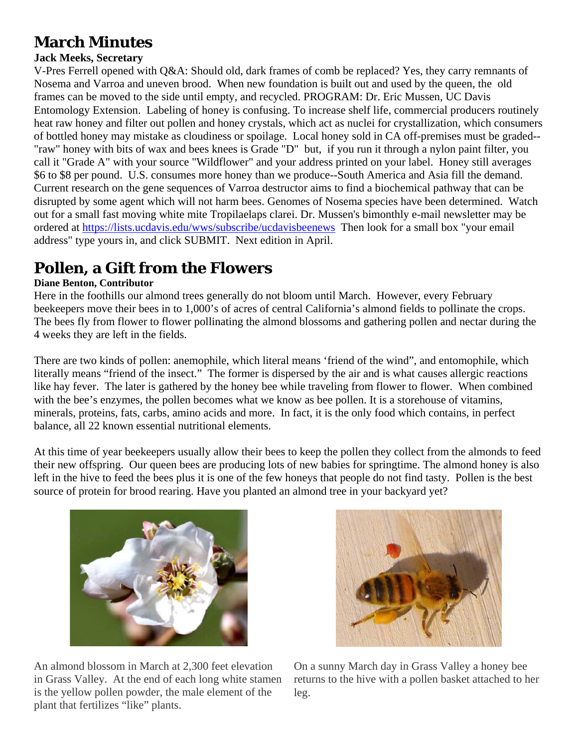# **March Minutes**

#### **Jack Meeks, Secretary**

V-Pres Ferrell opened with Q&A: Should old, dark frames of comb be replaced? Yes, they carry remnants of Nosema and Varroa and uneven brood. When new foundation is built out and used by the queen, the old frames can be moved to the side until empty, and recycled. PROGRAM: Dr. Eric Mussen, UC Davis Entomology Extension. Labeling of honey is confusing. To increase shelf life, commercial producers routinely heat raw honey and filter out pollen and honey crystals, which act as nuclei for crystallization, which consumers of bottled honey may mistake as cloudiness or spoilage. Local honey sold in CA off-premises must be graded-- "raw" honey with bits of wax and bees knees is Grade "D" but, if you run it through a nylon paint filter, you call it "Grade A" with your source "Wildflower" and your address printed on your label. Honey still averages \$6 to \$8 per pound. U.S. consumes more honey than we produce--South America and Asia fill the demand. Current research on the gene sequences of Varroa destructor aims to find a biochemical pathway that can be disrupted by some agent which will not harm bees. Genomes of Nosema species have been determined. Watch out for a small fast moving white mite Tropilaelaps clarei. Dr. Mussen's bimonthly e-mail newsletter may be ordered at<https://lists.ucdavis.edu/wws/subscribe/ucdavisbeenews> Then look for a small box "your email address" type yours in, and click SUBMIT. Next edition in April.

# **Pollen, a Gift from the Flowers**

#### **Diane Benton, Contributor**

Here in the foothills our almond trees generally do not bloom until March. However, every February beekeepers move their bees in to 1,000's of acres of central California's almond fields to pollinate the crops. The bees fly from flower to flower pollinating the almond blossoms and gathering pollen and nectar during the 4 weeks they are left in the fields.

There are two kinds of pollen: anemophile, which literal means 'friend of the wind", and entomophile, which literally means "friend of the insect." The former is dispersed by the air and is what causes allergic reactions like hay fever. The later is gathered by the honey bee while traveling from flower to flower. When combined with the bee's enzymes, the pollen becomes what we know as bee pollen. It is a storehouse of vitamins, minerals, proteins, fats, carbs, amino acids and more. In fact, it is the only food which contains, in perfect balance, all 22 known essential nutritional elements.

At this time of year beekeepers usually allow their bees to keep the pollen they collect from the almonds to feed their new offspring. Our queen bees are producing lots of new babies for springtime. The almond honey is also left in the hive to feed the bees plus it is one of the few honeys that people do not find tasty. Pollen is the best source of protein for brood rearing. Have you planted an almond tree in your backyard yet?



An almond blossom in March at 2,300 feet elevation in Grass Valley. At the end of each long white stamen is the yellow pollen powder, the male element of the plant that fertilizes "like" plants.



On a sunny March day in Grass Valley a honey bee returns to the hive with a pollen basket attached to her leg.